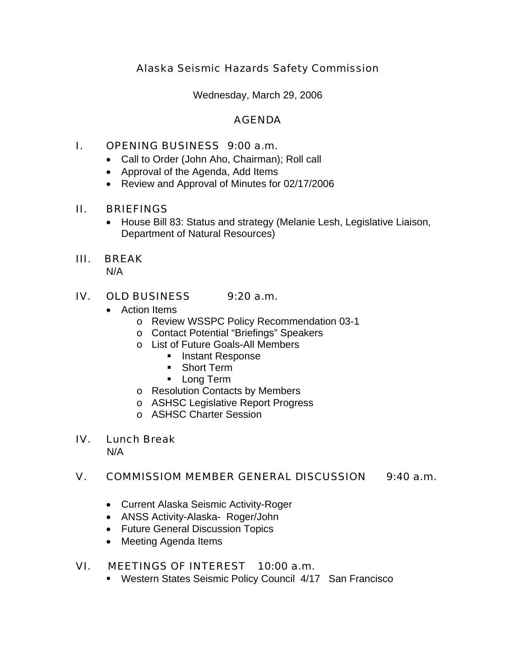# Alaska Seismic Hazards Safety Commission

Wednesday, March 29, 2006

## AGENDA

## I. OPENING BUSINESS 9:00 a.m.

- Call to Order (John Aho, Chairman); Roll call
- Approval of the Agenda, Add Items
- Review and Approval of Minutes for 02/17/2006

### II. BRIEFINGS

• House Bill 83: Status and strategy (Melanie Lesh, Legislative Liaison, Department of Natural Resources)

# III. BREAK

N/A

## IV. OLD BUSINESS 9:20 a.m.

- Action Items
	- o Review WSSPC Policy Recommendation 03-1
	- o Contact Potential "Briefings" Speakers
	- o List of Future Goals-All Members
		- **Instant Response**
		- **Short Term**
		- **Long Term**
	- o Resolution Contacts by Members
	- o ASHSC Legislative Report Progress
	- o ASHSC Charter Session

### IV. Lunch Break

N/A

# V. COMMISSIOM MEMBER GENERAL DISCUSSION 9:40 a.m.

- Current Alaska Seismic Activity-Roger
- ANSS Activity-Alaska- Roger/John
- Future General Discussion Topics
- Meeting Agenda Items

# VI. MEETINGS OF INTEREST 10:00 a.m.

Western States Seismic Policy Council 4/17 San Francisco